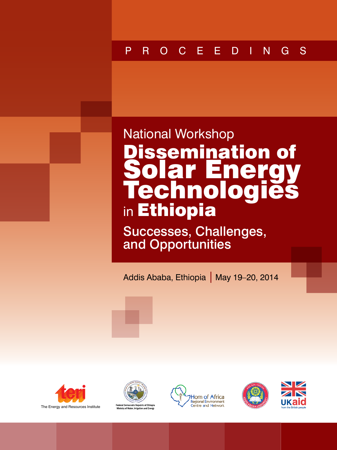# PROCEEDINGS

National Workshop on **Dissemination of Solar Energy Technologies in Ethiopia**: Successes, Challenges, and Opportunities

# National Workshop Dissemination of Solar Energy **Technologies** in Ethiopia

Successes, Challenges, and Opportunities

Addis Ababa, Ethiopia | May 19–20, 2014











**i >**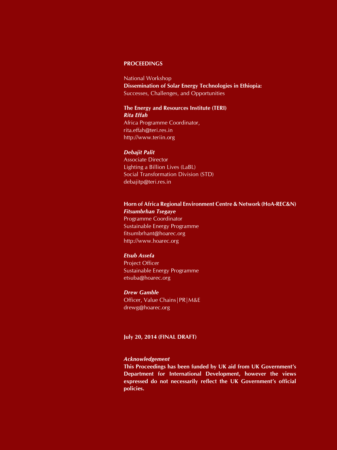#### **PROCEEDINGS**

National Workshop **Dissemination of Solar Energy Technologies in Ethiopia:**  Successes, Challenges, and Opportunities

#### **The Energy and Resources Institute (TERI)** *Rita Effah*

Africa Programme Coordinator, rita.effah@teri.res.in http://www.teriin.org

#### *Debajit Palit*

Associate Director Lighting a Billion Lives (LaBL) Social Transformation Division (STD) debajitp@teri.res.in

#### **Horn of Africa Regional Environment Centre & Network (HoA-REC&N)** *Fitsumbrhan Tsegaye*

Programme Coordinator Sustainable Energy Programme fitsumbrhant@hoarec.org http://www.hoarec.org

#### *Etsub Assefa*

Project Officer Sustainable Energy Programme etsuba@hoarec.org

#### *Drew Gamble*

Officer, Value Chains|PR|M&E drewg@hoarec.org

#### **July 20, 2014 (FINAL DRAFT)**

#### *Acknowledgement*

**This Proceedings has been funded by UK aid from UK Government's Department for International Development, however the views expressed do not necessarily reflect the UK Government's official policies.**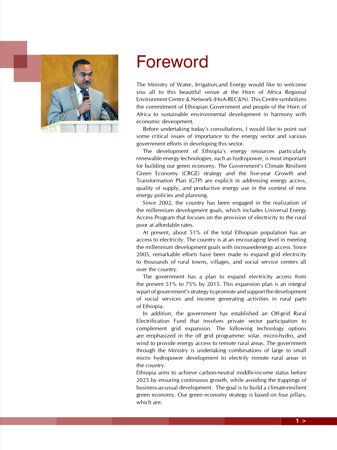

# Foreword

The Ministry of Water, Irrigation,and Energy would like to welcome you all to this beautiful venue at the Horn of Africa Regional Environment Centre & Network (HoA-REC&N). This Centre symbolizes the commitment of Ethiopian Government and people of the Horn of Africa to sustainable environmental development in harmony with economic deveopment.

Before undertaking today's consultations, I would like to point out some critical issues of importance to the energy sector and various government efforts in developing this sector.

The development of Ethiopia's energy resources particularly renewable energy technologies, such as hydropower, is most important for building our green economy. The Government's Climate Resilient Green Economy (CRGE) strategy and the five-year Growth and Transformation Plan (GTP) are explicit in addressing energy access, quality of supply, and productive energy use in the context of new energy policies and planning.

Since 2002, the country has been engaged in the realization of the millennium development goals, which includes Universal Energy Access Program that focuses on the provision of electricity to the rural poor at affordable rates.

At present, about 51% of the total Ethiopian population has an access to electricity. The country is at an encouraging level in meeting the millennium development goals with increasedenergy access. Since 2005, remarkable efforts have been made to expand grid electricity to thousands of rural towns, villages, and social service centers all over the country.

The government has a plan to expand electricity access from the present 51% to 75% by 2015. This expansion plan is an integral wpart of government's strategy to promote and support the development of social services and income generating activities in rural parts of Ethiopia.

In addition, the government has established an Off-grid Rural Electrification Fund that involves private sector participation to complement grid expansion. The following technology options are emphasized in the off grid programme: solar, micro-hydro, and wind to provide energy access to remote rural areas. The government through the Ministry is undertaking combinations of large to small micro hydropower development to electrify remote rural areas in the country.

Ethiopia aims to achieve carbon-neutral middle-income status before 2025 by ensuring continuous growth, while avoiding the trappings of business-as-usual development. The goal is to build a climate-resilient green economy. Our green economy strategy is based on four pillars, which are: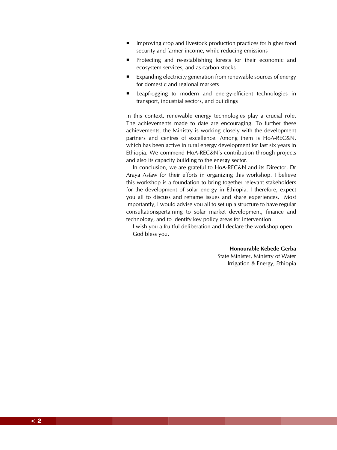- Improving crop and livestock production practices for higher food security and farmer income, while reducing emissions
- Protecting and re-establishing forests for their economic and ecosystem services, and as carbon stocks
- Expanding electricity generation from renewable sources of energy for domestic and regional markets
- **EXECUTE:** Leapfrogging to modern and energy-efficient technologies in transport, industrial sectors, and buildings

In this context, renewable energy technologies play a crucial role. The achievements made to date are encouraging. To further these achievements, the Ministry is working closely with the development partners and centres of excellence. Among them is HoA-REC&N, which has been active in rural energy development for last six years in Ethiopia. We commend HoA-REC&N's contribution through projects and also its capacity building to the energy sector.

In conclusion, we are grateful to HoA-REC&N and its Director, Dr Araya Asfaw for their efforts in organizing this workshop. I believe this workshop is a foundation to bring together relevant stakeholders for the development of solar energy in Ethiopia. I therefore, expect you all to discuss and reframe issues and share experiences. Most importantly, I would advise you all to set up a structure to have regular consultationspertaining to solar market development, finance and technology, and to identify key policy areas for intervention.

I wish you a fruitful deliberation and I declare the workshop open. God bless you.

> **Honourable Kebede Gerba** State Minister, Ministry of Water Irrigation & Energy, Ethiopia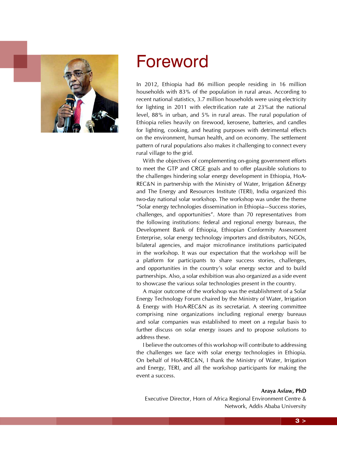

# Foreword

In 2012, Ethiopia had 86 million people residing in 16 million households with 83% of the population in rural areas. According to recent national statistics, 3.7 million households were using electricity for lighting in 2011 with electrification rate at 23%at the national level, 88% in urban, and 5% in rural areas. The rural population of Ethiopia relies heavily on firewood, kerosene, batteries, and candles for lighting, cooking, and heating purposes with detrimental effects on the environment, human health, and on economy. The settlement pattern of rural populations also makes it challenging to connect every rural village to the grid.

With the objectives of complementing on-going government efforts to meet the GTP and CRGE goals and to offer plausible solutions to the challenges hindering solar energy development in Ethiopia, HoA-REC&N in partnership with the Ministry of Water, Irrigation &Energy and The Energy and Resources Institute (TERI), India organized this two-day national solar workshop. The workshop was under the theme "Solar energy technologies dissemination in Ethiopia—Success stories, challenges, and opportunities". More than 70 representatives from the following institutions: federal and regional energy bureaus, the Development Bank of Ethiopia, Ethiopian Conformity Assessment Enterprise, solar energy technology importers and distributors, NGOs, bilateral agencies, and major microfinance institutions participated in the workshop. It was our expectation that the workshop will be a platform for participants to share success stories, challenges, and opportunities in the country's solar energy sector and to build partnerships. Also, a solar exhibition was also organized as a side event to showcase the various solar technologies present in the country.

A major outcome of the workshop was the establishment of a Solar Energy Technology Forum chaired by the Ministry of Water, Irrigation & Energy with HoA-REC&N as its secretariat. A steering committee comprising nine organizations including regional energy bureaus and solar companies was established to meet on a regular basis to further discuss on solar energy issues and to propose solutions to address these.

I believe the outcomes of this workshop will contribute to addressing the challenges we face with solar energy technologies in Ethiopia. On behalf of HoA-REC&N, I thank the Ministry of Water, Irrigation and Energy, TERI, and all the workshop participants for making the event a success.

#### **Araya Asfaw, PhD**

Executive Director, Horn of Africa Regional Environment Centre & Network, Addis Ababa University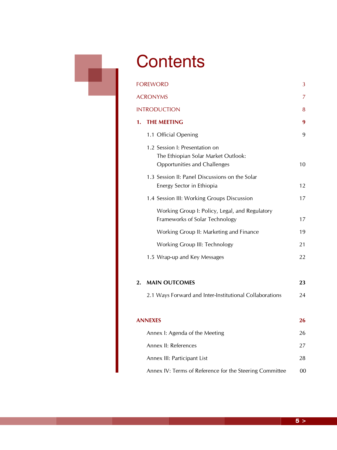# **Contents**

|    | FOREWORD                                                                                              | 3  |
|----|-------------------------------------------------------------------------------------------------------|----|
|    | ACRONYMS                                                                                              | 7  |
|    | <b>INTRODUCTION</b>                                                                                   | 8  |
| 1. | <b>THE MEETING</b>                                                                                    | 9  |
|    | 1.1 Official Opening                                                                                  | 9  |
|    | 1.2 Session I: Presentation on<br>The Ethiopian Solar Market Outlook:<br>Opportunities and Challenges | 10 |
|    | 1.3 Session II: Panel Discussions on the Solar<br>Energy Sector in Ethiopia                           | 12 |
|    | 1.4 Session III: Working Groups Discussion                                                            | 17 |
|    | Working Group I: Policy, Legal, and Regulatory<br>Frameworks of Solar Technology                      | 17 |
|    | Working Group II: Marketing and Finance                                                               | 19 |
|    | Working Group III: Technology                                                                         | 21 |
|    | 1.5 Wrap-up and Key Messages                                                                          | 22 |
| 2. | <b>MAIN OUTCOMES</b>                                                                                  | 23 |
|    | 2.1 Ways Forward and Inter-Institutional Collaborations                                               | 24 |
|    | <b>ANNEXES</b>                                                                                        | 26 |
|    | Annex I: Agenda of the Meeting                                                                        | 26 |
|    | Annex II: References                                                                                  | 27 |
|    | Annex III: Participant List                                                                           | 28 |
|    | Annex IV: Terms of Reference for the Steering Committee                                               | 00 |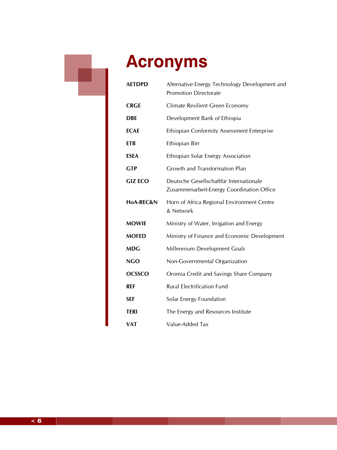

# **Acronyms**

| <b>AETDPD</b>  | Alternative Energy Technology Development and<br><b>Promotion Directorate</b>        |  |
|----------------|--------------------------------------------------------------------------------------|--|
| <b>CRGE</b>    | Climate Resilient Green Economy                                                      |  |
| <b>DBE</b>     | Development Bank of Ethiopia                                                         |  |
| <b>ECAE</b>    | <b>Ethiopian Conformity Assessment Enterprise</b>                                    |  |
| <b>ETB</b>     | Ethiopian Birr                                                                       |  |
| <b>ESEA</b>    | Ethiopian Solar Energy Association                                                   |  |
| <b>GTP</b>     | Growth and Transformation Plan                                                       |  |
| <b>GIZ ECO</b> | Deutsche Gesellschaftfür Internationale<br>Zusammenarbeit-Energy Coordination Office |  |
| HoA-REC&N      | Horn of Africa Regional Environment Centre<br>& Network                              |  |
| <b>MOWIE</b>   | Ministry of Water, Irrigation and Energy                                             |  |
| <b>MOFED</b>   | Ministry of Finance and Economic Development                                         |  |
| MDG            | Millennium Development Goals                                                         |  |
| <b>NGO</b>     | Non-Governmental Organization                                                        |  |
| <b>OCSSCO</b>  | Oromia Credit and Savings Share Company                                              |  |
| <b>REF</b>     | <b>Rural Electrification Fund</b>                                                    |  |
| <b>SEF</b>     | Solar Energy Foundation                                                              |  |
| <b>TERI</b>    | The Energy and Resources Institute                                                   |  |
| <b>VAT</b>     | Value-Added Tax                                                                      |  |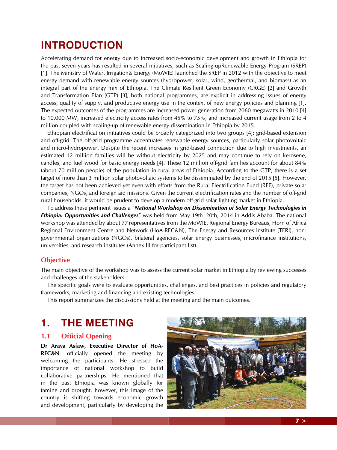# **INTRODUCTION**

Accelerating demand for energy due to increased socio-economic development and growth in Ethiopia for the past seven years has resulted in several initiatives, such as Scaling-upRenewable Energy Program (SREP) [1]. The Ministry of Water, Irrigation& Energy (MoWIE) launched the SREP in 2012 with the objective to meet energy demand with renewable energy sources (hydropower, solar, wind, geothermal, and biomass) as an integral part of the energy mix of Ethiopia. The Climate Resilient Green Economy (CRGE) [2] and Growth and Transformation Plan (GTP) [3], both national programmes, are explicit in addressing issues of energy access, quality of supply, and productive energy use in the context of new energy policies and planning [1]. The expected outcomes of the programmes are increased power generation from 2060 megawatts in 2010 [4] to 10,000 MW, increased electricity access rates from 45% to 75%, and increased current usage from 2 to 4 million coupled with scaling-up of renewable energy dissemination in Ethiopia by 2015.

Ethiopian electrification initiatives could be broadly categorized into two groups [4]: grid-based extension and off-grid. The off-grid programme accentuates renewable energy sources, particularly solar photovoltaic and micro-hydropower. Despite the recent increases in grid-based connection due to high investments, an estimated 12 million families will be without electricity by 2025 and may continue to rely on kerosene, candles, and fuel wood for basic energy needs [4]. These 12 million off-grid families account for about 84% (about 70 million people) of the population in rural areas of Ethiopia. According to the GTP, there is a set target of more than 3 million solar photovoltaic systems to be disseminated by the end of 2015 [5]. However, the target has not been achieved yet even with efforts from the Rural Electrification Fund (REF), private solar companies, NGOs, and foreign aid missions. Given the current electrification rates and the number of off-grid rural households, it would be prudent to develop a modern off-grid solar lighting market in Ethiopia.

To address these pertinent issues a "*National Workshop on Dissemination of Solar Energy Technologies in Ethiopia: Opportunities and Challenges*" was held from May 19th–20th, 2014 in Addis Ababa. The national workshop was attended by about 77 representatives from the MoWIE, Regional Energy Bureaus, Horn of Africa Regional Environment Centre and Network (HoA-REC&N), The Energy and Resources Institute (TERI), nongovernmental organizations (NGOs), bilateral agencies, solar energy businesses, microfinance institutions, universities, and research institutes (Annex III for participant list).

## **Objective**

The main objective of the workshop was to assess the current solar market in Ethiopia by reviewing successes and challenges of the stakeholders.

The specific goals were to evaluate opportunities, challenges, and best practices in policies and regulatory frameworks, marketing and financing and existing technologies.

This report summarizes the discussions held at the meeting and the main outcomes.

# **1. THE MEETING**

## **1.1 Official Opening**

**Dr Araya Asfaw, Executive Director of HoA-REC&N**, officially opened the meeting by welcoming the participants. He stressed the importance of national workshop to build collaborative partnerships. He mentioned that in the past Ethiopia was known globally for famine and drought; however, this image of the country is shifting towards economic growth and development, particularly by developing the



**7 >**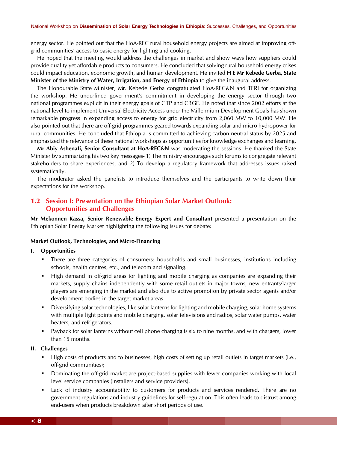energy sector. He pointed out that the HoA-REC rural household energy projects are aimed at improving offgrid communities' access to basic energy for lighting and cooking.

He hoped that the meeting would address the challenges in market and show ways how suppliers could provide quality yet affordable products to consumers. He concluded that solving rural household energy crises could impact education, economic growth, and human development. He invited **H E Mr Kebede Gerba, State Minister of the Ministry of Water, Irrigation, and Energy of Ethiopia** to give the inaugural address.

The Honourable State Minister, Mr. Kebede Gerba congratulated HoA-REC&N and TERI for organizing the workshop. He underlined government's commitment in developing the energy sector through two national programmes explicit in their energy goals of GTP and CRGE. He noted that since 2002 efforts at the national level to implement Universal Electricity Access under the Millennium Development Goals has shown remarkable progress in expanding access to energy for grid electricity from 2,060 MW to 10,000 MW. He also pointed out that there are off-grid programmes geared towards expanding solar and micro hydropower for rural communities. He concluded that Ethiopia is committed to achieving carbon neutral status by 2025 and emphasized the relevance of these national workshops as opportunities for knowledge exchanges and learning.

**Mr Abiy Ashenafi, Senior Consultant at HoA-REC&N** was moderating the sessions. He thanked the State Minister by summarizing his two key messages- 1) The ministry encourages such forums to congregate relevant stakeholders to share experiences, and 2) To develop a regulatory framework that addresses issues raised systematically.

The moderator asked the panelists to introduce themselves and the participants to write down their expectations for the workshop.

## **1.2 Session I: Presentation on the Ethiopian Solar Market Outlook: Opportunities and Challenges**

**Mr Mekonnen Kassa, Senior Renewable Energy Expert and Consultant** presented a presentation on the Ethiopian Solar Energy Market highlighting the following issues for debate:

#### **Market Outlook, Technologies, and Micro-Financing**

#### **I. Opportunities**

- **There are three categories of consumers: households and small businesses, institutions including** schools, health centres, etc., and telecom and signaling.
- High demand in off-grid areas for lighting and mobile charging as companies are expanding their markets, supply chains independently with some retail outlets in major towns, new entrants/larger players are emerging in the market and also due to active promotion by private sector agents and/or development bodies in the target market areas.
- Diversifying solar technologies, like solar lanterns for lighting and mobile charging, solar home systems with multiple light points and mobile charging, solar televisions and radios, solar water pumps, water heaters, and refrigerators.
- **Payback for solar lanterns without cell phone charging is six to nine months, and with chargers, lower** than 15 months.

#### **II. Challenges**

- High costs of products and to businesses, high costs of setting up retail outlets in target markets (i.e., off-grid communities);
- **Dominating the off-grid market are project-based supplies with fewer companies working with local** level service companies (installers and service providers).
- Lack of industry accountability to customers for products and services rendered. There are no government regulations and industry guidelines for self-regulation. This often leads to distrust among end-users when products breakdown after short periods of use.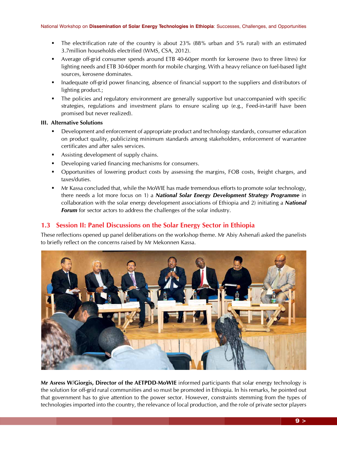- The electrification rate of the country is about 23% (88% urban and 5% rural) with an estimated 3.7million households electrified (WMS, CSA, 2012).
- Average off-grid consumer spends around ETB 40-60per month for kerosene (two to three litres) for lighting needs and ETB 30-60per month for mobile charging. With a heavy reliance on fuel-based light sources, kerosene dominates.
- Inadequate of f-grid power financing, absence of financial support to the suppliers and distributors of lighting product.;
- The policies and regulatory environment are generally supportive but unaccompanied with specific strategies, regulations and investment plans to ensure scaling up (e.g., Feed-in-tariff have been promised but never realized).

#### **III. Alternative Solutions**

- Development and enforcement of appropriate product and technology standards, consumer education on product quality, publicizing minimum standards among stakeholders, enforcement of warrantee certificates and after sales services.
- Assisting development of supply chains.
- Developing varied financing mechanisms for consumers.
- Opportunities of lowering product costs by assessing the margins, FOB costs, freight charges, and taxes/duties.
- **Mr Kassa concluded that, while the MoWIE has made tremendous efforts to promote solar technology,** there needs a lot more focus on 1) a *National Solar Energy Development Strategy Programme* in collaboration with the solar energy development associations of Ethiopia and 2) initiating a *National Forum* for sector actors to address the challenges of the solar industry.

## **1.3 Session II: Panel Discussions on the Solar Energy Sector in Ethiopia**

These reflections opened up panel deliberations on the workshop theme. Mr Abiy Ashenafi asked the panelists to briefly reflect on the concerns raised by Mr Mekonnen Kassa.



**Mr Asress W/Giorgis, Director of the AETPDD**-**MoWIE** informed participants that solar energy technology is the solution for off-grid rural communities and so must be promoted in Ethiopia. In his remarks, he pointed out that government has to give attention to the power sector. However, constraints stemming from the types of technologies imported into the country, the relevance of local production, and the role of private sector players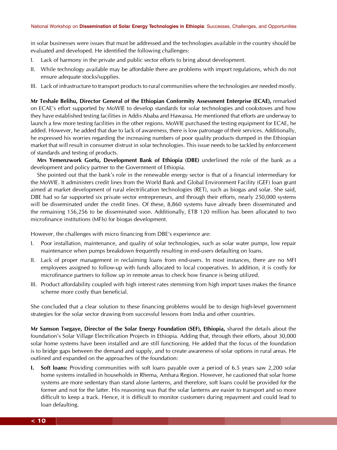in solar businesses were issues that must be addressed and the technologies available in the country should be evaluated and developed. He identified the following challenges:

- I. Lack of harmony in the private and public sector efforts to bring about development.
- II. While technology available may be affordable there are problems with import regulations, which do not ensure adequate stocks/supplies.
- III. Lack of infrastructure to transport products to rural communities where the technologies are needed mostly.

**Mr Teshale Belihu, Director General of the Ethiopian Conformity Assessment Enterprise (ECAE),** remarked on ECAE's effort supported by MoWIE to develop standards for solar technologies and cookstoves and how they have established testing facilities in Addis Ababa and Hawassa. He mentioned that efforts are underway to launch a few more testing facilities in the other regions. MoWIE purchased the testing equipment for ECAE, he added. However, he added that due to lack of awareness, there is low patronage of their services. Additionally, he expressed his worries regarding the increasing numbers of poor quality products dumped in the Ethiopian market that will result in consumer distrust in solar technologies. This issue needs to be tackled by enforcement of standards and testing of products.

**Mrs Yemenzwork Gorfu, Development Bank of Ethiopia (DBE)** underlined the role of the bank as a development and policy partner to the Government of Ethiopia.

She pointed out that the bank's role in the renewable energy sector is that of a financial intermediary for the MoWIE. It administers credit lines from the World Bank and Global Environment Facility (GEF) loan grant aimed at market development of rural electrification technologies (RET), such as biogas and solar. She said, DBE had so far supported six private sector entrepreneurs, and through their efforts, nearly 250,000 systems will be disseminated under the credit lines. Of these, 8,860 systems have already been disseminated and the remaining 156,256 to be disseminated soon. Additionally, ETB 120 million has been allocated to two microfinance institutions (MFIs) for biogas development.

However, the challenges with micro financing from DBE's experience are:

- I. Poor installation, maintenance, and quality of solar technologies, such as solar water pumps, low repair maintenance when pumps breakdown frequently resulting in end-users defaulting on loans.
- II. Lack of proper management in reclaiming loans from end-users. In most instances, there are no MFI employees assigned to follow-up with funds allocated to local cooperatives. In addition, it is costly for microfinance partners to follow up in remote areas to check how finance is being utilized.
- III. Product affordability coupled with high interest rates stemming from high import taxes makes the finance scheme more costly than beneficial.

She concluded that a clear solution to these financing problems would be to design high-level government strategies for the solar sector drawing from successful lessons from India and other countries.

**Mr Samson Tsegaye, Director of the Solar Energy Foundation (SEF), Ethiopia,** shared the details about the foundation's Solar Village Electrification Projects in Ethiopia. Adding that, through their efforts, about 30,000 solar home systems have been installed and are still functioning. He added that the focus of the foundation is to bridge gaps between the demand and supply, and to create awareness of solar options in rural areas. He outlined and expanded on the approaches of the foundation:

**I. Soft loans:** Providing communities with soft loans payable over a period of 6.5 years saw 2,200 solar home systems installed in households in Rhema, Amhara Region. However, he cautioned that solar home systems are more sedentary than stand alone lanterns, and therefore, soft loans could be provided for the former and not for the latter. His reasoning was that the solar lanterns are easier to transport and so more difficult to keep a track. Hence, it is difficult to monitor customers during repayment and could lead to loan defaulting.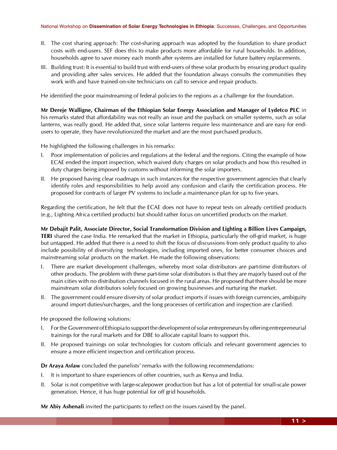- II. The cost sharing approach: The cost-sharing approach was adopted by the foundation to share product costs with end-users. SEF does this to make products more affordable for rural households. In addition, households agree to save money each month after systems are installed for future battery replacements.
- III. Building trust: It is essential to build trust with end-users of these solar products by ensuring product quality and providing after sales services. He added that the foundation always consults the communities they work with and have trained on-site technicians on call to service and repair products.

He identified the poor mainstreaming of federal policies to the regions as a challenge for the foundation.

**Mr Dereje Walligne, Chairman of the Ethiopian Solar Energy Association and Manager of Lydetco PLC** in his remarks stated that affordability was not really an issue and the payback on smaller systems, such as solar lanterns, was really good. He added that, since solar lanterns require less maintenance and are easy for endusers to operate, they have revolutionized the market and are the most purchased products.

He highlighted the following challenges in his remarks:

- I. Poor implementation of policies and regulations at the federal and the regions. Citing the example of how ECAE ended the import inspection, which waived duty charges on solar products and how this resulted in duty charges being imposed by customs without informing the solar importers.
- II. He proposed having clear roadmaps in such instances for the respective government agencies that clearly identify roles and responsibilities to help avoid any confusion and clarify the certification process. He proposed for contracts of larger PV systems to include a maintenance plan for up to five years.

Regarding the certification, he felt that the ECAE does not have to repeat tests on already certified products (e.g., Lighting Africa certified products) but should rather focus on uncertified products on the market.

### **Mr Debajit Palit, Associate Director, Social Transformation Division and Lighting a Billion Lives Campaign, TERI** shared the case India. He remarked that the market in Ethiopia, particularly the off-grid market, is huge but untapped. He added that there is a need to shift the focus of discussions from only product quality to also include possibility of diversifying technologies, including imported ones, for better consumer choices and mainstreaming solar products on the market. He made the following observations:

- I. There are market development challenges, whereby most solar distributors are part-time distributors of other products. The problem with these part-time solar distributors is that they are majorly based out of the main cities with no distribution channels focused in the rural areas. He proposed that there should be more mainstream solar distributors solely focused on growing businesses and nurturing the market.
- II. The government could ensure diversity of solar product imports if issues with foreign currencies, ambiguity around import duties/surcharges, and the long processes of certification and inspection are clarified.

He proposed the following solutions:

- I. For the Government of Ethiopia to support the development of solar entrepreneurs by offering entrepreneurial trainings for the rural markets and for DBE to allocate capital loans to support this.
- II. He proposed trainings on solar technologies for custom officials and relevant government agencies to ensure a more efficient inspection and certification process.

**Dr Araya Asfaw** concluded the panelists' remarks with the following recommendations:

- I. It is important to share experiences of other countries, such as Kenya and India.
- II. Solar is not competitive with large-scalepower production but has a lot of potential for small-scale power generation. Hence, it has huge potential for off grid households.

**Mr Abiy Ashenafi** invited the participants to reflect on the issues raised by the panel.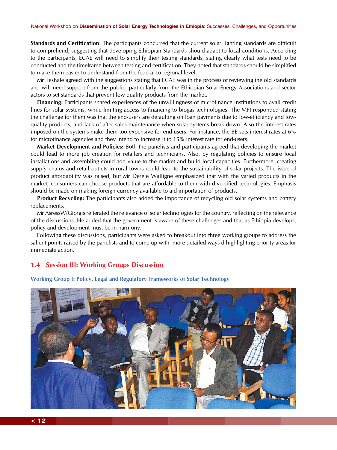**Standards and Certification**: The participants concurred that the current solar lighting standards are difficult to comprehend, suggesting that developing Ethiopian Standards should adapt to local conditions. According to the participants, ECAE will need to simplify their testing standards, stating clearly what tests need to be conducted and the timeframe between testing and certification. They noted that standards should be simplified to make them easier to understand from the federal to regional level.

Mr Teshale agreed with the suggestions stating that ECAE was in the process of reviewing the old standards and will need support from the public, particularly from the Ethiopian Solar Energy Associations and sector actors to set standards that prevent low quality products from the market.

**Financing**: Participants shared experiences of the unwillingness of microfinance institutions to avail credit lines for solar systems, while limiting access to financing to biogas technologies. The MFI responded stating the challenge for them was that the end-users are defaulting on loan payments due to low-efficiency and lowquality products, and lack of after sales maintenance when solar systems break down. Also the interest rates imposed on the systems make them too expensive for end-users. For instance, the BE sets interest rates at 6% for microfinance agencies and they intend to increase it to 15% interest rate for end-users.

**Market Development and Policies:** Both the panelists and participants agreed that developing the market could lead to more job creation for retailers and technicians. Also, by regulating policies to ensure local installations and assembling could add value to the market and build local capacities. Furthermore, creating supply chains and retail outlets in rural towns could lead to the sustainability of solar projects. The issue of product affordability was raised, but Mr Dereje Walligne emphasized that with the varied products in the market, consumers can choose products that are affordable to them with diversified technologies. Emphasis should be made on making foreign currency available to aid importation of products.

**Product Recycling:** The participants also added the importance of recycling old solar systems and battery replacements.

Mr AsressW/Giorgis reiterated the relevance of solar technologies for the country, reflecting on the relevance of the discussions. He added that the government is aware of these challenges and that as Ethiopia develops, policy and development must be in harmony.

Following these discussions, participants were asked to breakout into three working groups to address the salient points raised by the panelists and to come up with more detailed ways d highlighting priority areas for immediate action.

## **1.4 Session III: Working Groups Discussion**



**Working Group I: Policy, Legal and Regulatory Frameworks of Solar Technology**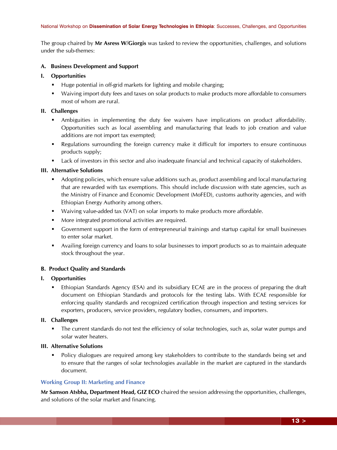#### National Workshop on **Dissemination of Solar Energy Technologies in Ethiopia**: Successes, Challenges, and Opportunities

The group chaired by **Mr Asress W/Giorgis** was tasked to review the opportunities, challenges, and solutions under the sub-themes:

#### **A. Business Development and Support**

#### **I. Opportunities**

- Huge potential in off-grid markets for lighting and mobile charging;
- Waiving import duty fees and taxes on solar products to make products more affordable to consumers most of whom are rural.

#### **II. Challenges**

- Ambiguities in implementing the duty fee waivers have implications on product affordability. Opportunities such as local assembling and manufacturing that leads to job creation and value additions are not import tax exempted;
- Regulations surrounding the foreign currency make it difficult for importers to ensure continuous products supply;
- Lack of investors in this sector and also inadequate financial and technical capacity of stakeholders.

#### **III. Alternative Solutions**

- Adopting policies, which ensure value additions such as, product assembling and local manufacturing that are rewarded with tax exemptions. This should include discussion with state agencies, such as the Ministry of Finance and Economic Development (MoFED), customs authority agencies, and with Ethiopian Energy Authority among others.
- Waiving value-added tax (VAT) on solar imports to make products more affordable.
- **More integrated promotional activities are required.**
- Government support in the form of entrepreneurial trainings and startup capital for small businesses to enter solar market.
- Availing foreign currency and loans to solar businesses to import products so as to maintain adequate stock throughout the year.

#### **B. Product Quality and Standards**

#### **I. Opportunities**

 Ethiopian Standards Agency (ESA) and its subsidiary ECAE are in the process of preparing the draft document on Ethiopian Standards and protocols for the testing labs. With ECAE responsible for enforcing quality standards and recognized certification through inspection and testing services for exporters, producers, service providers, regulatory bodies, consumers, and importers.

#### **II. Challenges**

 The current standards do not test the efficiency of solar technologies, such as, solar water pumps and solar water heaters.

#### **III. Alternative Solutions**

 Policy dialogues are required among key stakeholders to contribute to the standards being set and to ensure that the ranges of solar technologies available in the market are captured in the standards document.

#### **Working Group II: Marketing and Finance**

**Mr Samson Atsbha, Department Head, GIZ ECO** chaired the session addressing the opportunities, challenges, and solutions of the solar market and financing.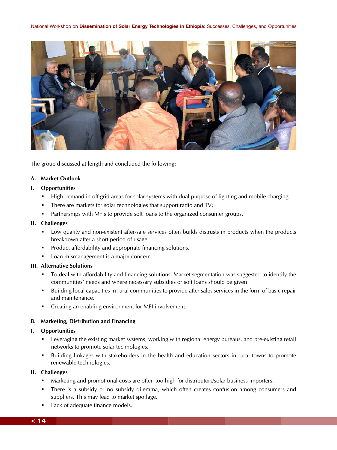

The group discussed at length and concluded the following:

#### **A. Market Outlook**

#### **I. Opportunities**

- **High demand in off-grid areas for solar systems with dual purpose of lighting and mobile charging**
- There are markets for solar technologies that support radio and TV;
- **Partnerships with MFIs to provide soft loans to the organized consumer groups.**

#### **II. Challenges**

- Low quality and non-existent after-sale services often builds distrusts in products when the products breakdown after a short period of usage.
- **Product affordability and appropriate financing solutions.**
- **Loan mismanagement is a major concern.**

#### **III. Alternative Solutions**

- To deal with affordability and financing solutions. Market segmentation was suggested to identify the communities' needs and where necessary subsidies or soft loans should be given
- Building local capacities in rural communities to provide after sales services in the form of basic repair and maintenance.
- **Creating an enabling environment for MFI involvement.**

#### **B. Marketing, Distribution and Financing**

#### **I. Opportunities**

- Leveraging the existing market systems, working with regional energy bureaus, and pre-existing retail networks to promote solar technologies.
- **Building linkages with stakeholders in the health and education sectors in rural towns to promote** renewable technologies.

#### **II. Challenges**

- **Marketing and promotional costs are often too high for distributors/solar business importers.**
- There is a subsidy or no subsidy dilemma, which often creates confusion among consumers and suppliers. This may lead to market spoilage.
- **Lack of adequate finance models.**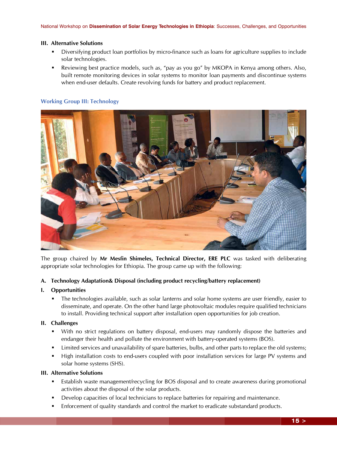#### **III. Alternative Solutions**

- Diversifying product loan portfolios by micro-finance such as loans for agriculture supplies to include solar technologies.
- **EXECT** Reviewing best practice models, such as, "pay as you go" by MKOPA in Kenya among others. Also, built remote monitoring devices in solar systems to monitor loan payments and discontinue systems when end-user defaults. Create revolving funds for battery and product replacement.

#### **Working Group III: Technology**



The group chaired by **Mr Mesfin Shimeles, Technical Director, ERE PLC** was tasked with deliberating appropriate solar technologies for Ethiopia. The group came up with the following:

#### **A. Technology Adaptation& Disposal (including product recycling/battery replacement)**

#### **I. Opportunities**

 The technologies available, such as solar lanterns and solar home systems are user friendly, easier to disseminate, and operate. On the other hand large photovoltaic modules require qualified technicians to install. Providing technical support after installation open opportunities for job creation.

#### **II. Challenges**

- With no strict regulations on battery disposal, end-users may randomly dispose the batteries and endanger their health and pollute the environment with battery-operated systems (BOS).
- Limited services and unavailability of spare batteries, bulbs, and other parts to replace the old systems;
- **High installation costs to end-users coupled with poor installation services for large PV systems and** solar home systems (SHS).

#### **III. Alternative Solutions**

- Establish waste management/recycling for BOS disposal and to create awareness during promotional activities about the disposal of the solar products.
- Develop capacities of local technicians to replace batteries for repairing and maintenance.
- Enforcement of quality standards and control the market to eradicate substandard products.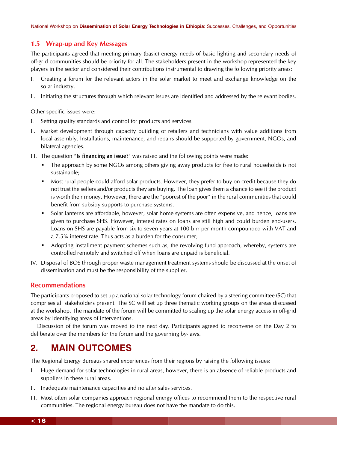## **1.5 Wrap-up and Key Messages**

The participants agreed that meeting primary (basic) energy needs of basic lighting and secondary needs of off-grid communities should be priority for all. The stakeholders present in the workshop represented the key players in the sector and considered their contributions instrumental to drawing the following priority areas:

- I. Creating a forum for the relevant actors in the solar market to meet and exchange knowledge on the solar industry.
- II. Initiating the structures through which relevant issues are identified and addressed by the relevant bodies.

Other specific issues were:

- I. Setting quality standards and control for products and services.
- II. Market development through capacity building of retailers and technicians with value additions from local assembly. Installations, maintenance, and repairs should be supported by government, NGOs, and bilateral agencies.
- III. The question "**Is financing an issue**?" was raised and the following points were made:
	- **The approach by some NGOs among others giving away products for free to rural households is not** sustainable;
	- Most rural people could afford solar products. However, they prefer to buy on credit because they do not trust the sellers and/or products they are buying. The loan gives them a chance to see if the product is worth their money. However, there are the "poorest of the poor" in the rural communities that could benefit from subsidy supports to purchase systems.
	- **Solar lanterns are affordable, however, solar home systems are often expensive, and hence, loans are** given to purchase SHS. However, interest rates on loans are still high and could burden end-users. Loans on SHS are payable from six to seven years at 100 birr per month compounded with VAT and a 7.5% interest rate. Thus acts as a burden for the consumer;
	- Adopting installment payment schemes such as, the revolving fund approach, whereby, systems are controlled remotely and switched off when loans are unpaid is beneficial.
- IV. Disposal of BOS through proper waste management treatment systems should be discussed at the onset of dissemination and must be the responsibility of the supplier.

## **Recommendations**

The participants proposed to set up a national solar technology forum chaired by a steering committee (SC) that comprises all stakeholders present. The SC will set up three thematic working groups on the areas discussed at the workshop. The mandate of the forum will be committed to scaling up the solar energy access in off-grid areas by identifying areas of interventions.

Discussion of the forum was moved to the next day. Participants agreed to reconvene on the Day 2 to deliberate over the members for the forum and the governing by-laws.

# **2***.* **MAIN OUTCOMES**

The Regional Energy Bureaus shared experiences from their regions by raising the following issues:

- I. Huge demand for solar technologies in rural areas, however, there is an absence of reliable products and suppliers in these rural areas.
- II. Inadequate maintenance capacities and no after sales services.
- III. Most often solar companies approach regional energy offices to recommend them to the respective rural communities. The regional energy bureau does not have the mandate to do this.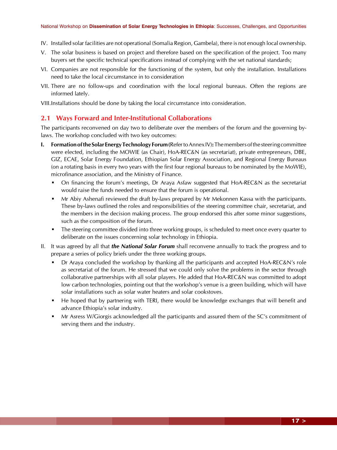- IV. Installed solar facilities are not operational (Somalia Region, Gambela), there is not enough local ownership.
- V. The solar business is based on project and therefore based on the specification of the project. Too many buyers set the specific technical specifications instead of complying with the set national standards;
- VI. Companies are not responsible for the functioning of the system, but only the installation. Installations need to take the local circumstance in to consideration
- VII. There are no follow-ups and coordination with the local regional bureaus. Often the regions are informed lately.

VIII.Installations should be done by taking the local circumstance into consideration.

#### **2.1 Ways Forward and Inter-Institutional Collaborations**

The participants reconvened on day two to deliberate over the members of the forum and the governing bylaws. The workshop concluded with two key outcomes:

- **I. Formation of the Solar Energy Technology Forum (**Refer to Annex IV)**:** The members of the steering committee were elected, including the MOWIE (as Chair), HoA-REC&N (as secretariat), private entrepreneurs, DBE, GIZ, ECAE, Solar Energy Foundation, Ethiopian Solar Energy Association, and Regional Energy Bureaus (on a rotating basis in every two years with the first four regional bureaus to be nominated by the MoWIE), microfinance association, and the Ministry of Finance.
	- On financing the forum's meetings, Dr Araya Asfaw suggested that HoA-REC&N as the secretariat would raise the funds needed to ensure that the forum is operational.
	- Mr Abiy Ashenafi reviewed the draft by-laws prepared by Mr Mekonnen Kassa with the participants. These by-laws outlined the roles and responsibilities of the steering committee chair, secretariat, and the members in the decision making process. The group endorsed this after some minor suggestions, such as the composition of the forum.
	- The steering committee divided into three working groups, is scheduled to meet once every quarter to deliberate on the issues concerning solar technology in Ethiopia.
- II. It was agreed by all that *the National Solar Forum* shall reconvene annually to track the progress and to prepare a series of policy briefs under the three working groups.
	- Dr Araya concluded the workshop by thanking all the participants and accepted HoA-REC&N's role as secretariat of the forum. He stressed that we could only solve the problems in the sector through collaborative partnerships with all solar players. He added that HoA-REC&N was committed to adopt low carbon technologies, pointing out that the workshop's venue is a green building, which will have solar installations such as solar water heaters and solar cookstoves.
	- He hoped that by partnering with TERI, there would be knowledge exchanges that will benefit and advance Ethiopia's solar industry.
	- Mr Asress W/Giorgis acknowledged all the participants and assured them of the SC's commitment of serving them and the industry.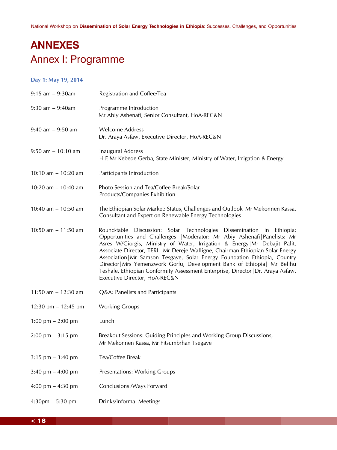# **ANNEXES** Annex I: Programme

### **Day 1: May 19, 2014**

| $9:15$ am $-9:30$ am                | Registration and Coffee/Tea                                                                                                                                                                                                                                                                                                                                                                                                                                                                                                                                                                          |  |  |  |
|-------------------------------------|------------------------------------------------------------------------------------------------------------------------------------------------------------------------------------------------------------------------------------------------------------------------------------------------------------------------------------------------------------------------------------------------------------------------------------------------------------------------------------------------------------------------------------------------------------------------------------------------------|--|--|--|
| $9:30$ am $-9:40$ am                | Programme Introduction<br>Mr Abiy Ashenafi, Senior Consultant, HoA-REC&N                                                                                                                                                                                                                                                                                                                                                                                                                                                                                                                             |  |  |  |
| $9:40$ am $-9:50$ am                | <b>Welcome Address</b><br>Dr. Araya Asfaw, Executive Director, HoA-REC&N                                                                                                                                                                                                                                                                                                                                                                                                                                                                                                                             |  |  |  |
| $9:50$ am $-10:10$ am               | Inaugural Address<br>H E Mr Kebede Gerba, State Minister, Ministry of Water, Irrigation & Energy                                                                                                                                                                                                                                                                                                                                                                                                                                                                                                     |  |  |  |
| 10:10 am $-$ 10:20 am               | Participants Introduction                                                                                                                                                                                                                                                                                                                                                                                                                                                                                                                                                                            |  |  |  |
| 10:20 am $-$ 10:40 am               | Photo Session and Tea/Coffee Break/Solar<br>Products/Companies Exhibition                                                                                                                                                                                                                                                                                                                                                                                                                                                                                                                            |  |  |  |
| 10:40 am $-$ 10:50 am               | The Ethiopian Solar Market: Status, Challenges and Outlook Mr Mekonnen Kassa,<br>Consultant and Expert on Renewable Energy Technologies                                                                                                                                                                                                                                                                                                                                                                                                                                                              |  |  |  |
| 10:50 am $- 11:50$ am               | Round-table Discussion: Solar Technologies Dissemination in Ethiopia:<br>Opportunities and Challenges   Moderator: Mr Abiy Ashenafi   Panelists: Mr<br>Asres W/Giorgis, Ministry of Water, Irrigation & Energy   Mr Debajit Palit,<br>Associate Director, TERI   Mr Dereje Walligne, Chairman Ethiopian Solar Energy<br>Association   Mr Samson Tesgaye, Solar Energy Foundation Ethiopia, Country<br>Director   Mrs Yemenzwork Gorfu, Development Bank of Ethiopia   Mr Belihu<br>Teshale, Ethiopian Conformity Assessment Enterprise, Director   Dr. Araya Asfaw,<br>Executive Director, HoA-REC&N |  |  |  |
| 11:50 am $- 12:30$ am               | Q&A: Panelists and Participants                                                                                                                                                                                                                                                                                                                                                                                                                                                                                                                                                                      |  |  |  |
| 12:30 pm $- 12:45$ pm               | <b>Working Groups</b>                                                                                                                                                                                                                                                                                                                                                                                                                                                                                                                                                                                |  |  |  |
| 1:00 pm $-$ 2:00 pm                 | Lunch                                                                                                                                                                                                                                                                                                                                                                                                                                                                                                                                                                                                |  |  |  |
| $2:00 \text{ pm} - 3:15 \text{ pm}$ | Breakout Sessions: Guiding Principles and Working Group Discussions,<br>Mr Mekonnen Kassa, Mr Fitsumbrhan Tsegaye                                                                                                                                                                                                                                                                                                                                                                                                                                                                                    |  |  |  |
| $3:15$ pm $-3:40$ pm                | Tea/Coffee Break                                                                                                                                                                                                                                                                                                                                                                                                                                                                                                                                                                                     |  |  |  |
| 3:40 pm $-$ 4:00 pm                 | <b>Presentations: Working Groups</b>                                                                                                                                                                                                                                                                                                                                                                                                                                                                                                                                                                 |  |  |  |
| 4:00 pm $-$ 4:30 pm                 | Conclusions /Ways Forward                                                                                                                                                                                                                                                                                                                                                                                                                                                                                                                                                                            |  |  |  |
| $4:30$ pm $-5:30$ pm                | Drinks/Informal Meetings                                                                                                                                                                                                                                                                                                                                                                                                                                                                                                                                                                             |  |  |  |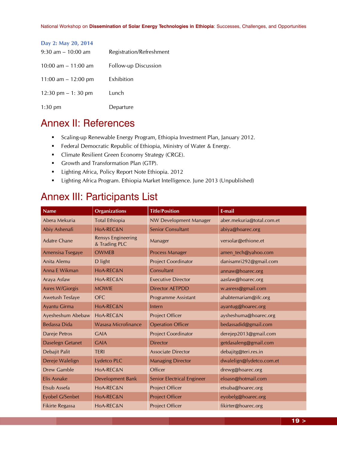| Day 2: May 20, 2014   |                             |
|-----------------------|-----------------------------|
| $9:30$ am $-10:00$ am | Registration/Refreshment    |
| 10:00 am $-$ 11:00 am | <b>Follow-up Discussion</b> |
| 11:00 am $-$ 12:00 pm | Exhibition                  |
| 12:30 pm $-1:30$ pm   | Lunch                       |
| $1:30$ pm             | Departure                   |

# Annex II: References

- **Scaling-up Renewable Energy Program, Ethiopia Investment Plan, January 2012.**
- **Federal Democratic Republic of Ethiopia, Ministry of Water & Energy.**
- **Climate Resilient Green Economy Strategy (CRGE).**
- Growth and Transformation Plan (GTP).
- **Lighting Africa, Policy Report Note Ethiopia. 2012**
- **E** Lighting Africa Program. Ethiopia Market Intelligence. June 2013 (Unpublished)

# Annex III: Participants List

| <b>Name</b>            | <b>Organizations</b>                       | <b>Title/Position</b>         | E-mail                    |
|------------------------|--------------------------------------------|-------------------------------|---------------------------|
| Abera Mekuria          | <b>Total Ethiopia</b>                      | <b>NW Development Manager</b> | aber.mekuria@total.com.et |
| Abiy Ashenafi          | HoA-REC&N                                  | <b>Senior Consultant</b>      | abiya@hoarec.org          |
| <b>Adatre Chane</b>    | <b>Rensys Engineering</b><br>& Trading PLC | Manager                       | versolar@ethione.et       |
| Amensisa Tsegaye       | <b>OWMEB</b>                               | <b>Process Manager</b>        | amen tech@yahoo.com       |
| Anita Alemu            | D light                                    | <b>Project Coordinator</b>    | danisamri292@gmail.com    |
| Anna E Wikman          | HoA-REC&N                                  | Consultant                    | annaw@hoarec.org          |
| Araya Asfaw            | HoA-REC&N                                  | <b>Executive Director</b>     | aasfaw@hoarec.org         |
| <b>Asres W/Giorgis</b> | <b>MOWIE</b>                               | <b>Director AETPDD</b>        | w.asress@gmail.com        |
| Awetush Tesfaye        | <b>OFC</b>                                 | <b>Programme Assistant</b>    | ahabtemariam@ifc.org      |
| Ayantu Girma           | HoA-REC&N                                  | Intern                        | ayantug@hoarec.org        |
| Ayesheshum Abebaw      | HoA-REC&N                                  | Project Officer               | aysheshuma@hoarec.org     |
| <b>Bedassa Dida</b>    | Wasasa Microfinance                        | <b>Operation Officer</b>      | bedassadid@gmail.com      |
| Dareje Petros          | <b>GAIA</b>                                | <b>Project Coordinator</b>    | derejep2013@gmail.com     |
| Daselegn Getanet       | <b>GAIA</b>                                | <b>Director</b>               | getdasaleng@gmail.com     |
| Debajit Palit          | <b>TERI</b>                                | <b>Associate Director</b>     | debajitg@teri.res.in      |
| Dereje Walelign        | Lydetco PLC                                | <b>Managing Director</b>      | dwalelign@lydetco.com.et  |
| <b>Drew Gamble</b>     | HoA-REC&N                                  | Officer                       | drewg@hoarec.org          |
| <b>Elis Asnake</b>     | Development Bank                           | Senior Electrical Engineer    | eloasn@hotmail.com        |
| Etsub Assefa           | HoA-REC&N                                  | Project Officer               | etsuba@hoarec.org         |
| Eyobel G/Senbet        | HoA-REC&N                                  | <b>Project Officer</b>        | eyobelg@hoarec.org        |
| <b>Fikirte Regassa</b> | HoA-REC&N                                  | Project Officer               | fikirter@hoarec.org       |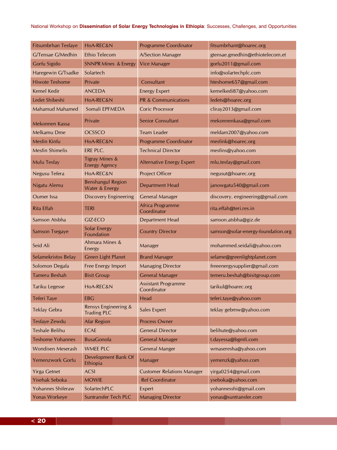#### National Workshop on **Dissemination of Solar Energy Technologies in Ethiopia**: Successes, Challenges, and Opportunities

| Fitsumbrhan Tesfaye      | HoA-REC&N                                         | <b>Programme Coordinator</b>              | fitsumbrhant@hoarec.org            |
|--------------------------|---------------------------------------------------|-------------------------------------------|------------------------------------|
| G/Tensae G/Medhin        | Ethio Telecom                                     | <b>A/Section Manager</b>                  | gtensae.gmedhin@ethiotelecom.et    |
| Gorfu Sigido             | <b>SNNPR Mines &amp; Energy</b>                   | <b>Vice Manager</b>                       | gorfu2011@gmail.com                |
| Haregewin G/Tsadke       | Solartech                                         |                                           | info@solartechplc.com              |
| <b>Hiwote Teshome</b>    | Private                                           | Consultant                                | hteshome657@gmail.com              |
| <b>Kemel Kedir</b>       | <b>ANCEDA</b>                                     | <b>Energy Expert</b>                      | kemelkedi87@yahoo.com              |
| Ledet Shibeshi           | HoA-REC&N                                         | <b>PR &amp; Communications</b>            | ledets@hoarec.org                  |
| <b>Mahamud Mahamed</b>   | Somali EPFMEDA                                    | <b>Coric Processor</b>                    | cliray2013@gmail.com               |
| Mekonnen Kassa           | Private                                           | <b>Senior Consultant</b>                  | mekonnenkasa@gmail.com             |
| Melkamu Dme              | <b>OCSSCO</b>                                     | <b>Team Leader</b>                        | meldam2007@yahoo.com               |
| Mesfin Kinfu             | HoA-REC&N                                         | <b>Programme Coordinator</b>              | mesfink@hoarec.org                 |
| <b>Mesfin Shimelis</b>   | ERE PLC.                                          | <b>Technical Director</b>                 | mesfins@yahoo.com                  |
| <b>Mulu Tesfay</b>       | <b>Tigray Mines &amp;</b><br><b>Energy Agency</b> | <b>Alternative Energy Expert</b>          | mlu.tesfay@gmail.com               |
| Negusu Tefera            | HoA-REC&N                                         | Project Officer                           | negusut@hoarec.org                 |
| Nigatu Alemu             | <b>Benshangul Region</b><br>Water & Energy        | <b>Department Head</b>                    | janowgatu540@gmail.com             |
| <b>Oumer</b> Issa        | <b>Discovery Engineering</b>                      | <b>General Manager</b>                    | discovery. engineering@gmail.com   |
| <b>Rita Effah</b>        | <b>TERI</b>                                       | Africa Programme<br>Coordinator           | rita.effah@teri.res.in             |
| Samson Atsbha            | GIZ-ECO                                           | <b>Department Head</b>                    | samson.atsbha@giz.de               |
| <b>Samson Tsegaye</b>    | <b>Solar Energy</b><br>Foundation                 | <b>Country Director</b>                   | samson@solar-energy-foundation.org |
| Seid Ali                 | Ahmara Mines &<br>Energy                          | Manager                                   | mohammed.seidali@yahoo.com         |
| Selamekristos Belay      | <b>Green Light Planet</b>                         | <b>Brand Manager</b>                      | selame@greenlightplanet.com        |
| Solomon Degafa           | Free Energy Import                                | <b>Managing Director</b>                  | freeenergysupplier@gmail.com       |
| <b>Tameru Beshah</b>     | <b>Bisit Group</b>                                | <b>General Manager</b>                    | temeru.beshah@bisitgroup.com       |
| Tariku Legesse           | HoA-REC&N                                         | <b>Assistant Programme</b><br>Coordinator | tarikul@hoarec.org                 |
| Teferi Taye              | <b>EBG</b>                                        | Head                                      | teferi.taye@yahoo.com              |
| <b>Teklay Gebra</b>      | Rensys Engineering &<br><b>Trading PLC</b>        | <b>Sales Expert</b>                       | teklay gebmw@yahoo.com             |
| Tesfaye Zewdu            | <b>Afar Region</b>                                | <b>Process Owner</b>                      |                                    |
| <b>Teshale Belihu</b>    | <b>ECAE</b>                                       | <b>General Director</b>                   | belihute@yahoo.com                 |
| <b>Teshome Yohannes</b>  | <b>BusaGonofa</b>                                 | <b>General Manager</b>                    | t.dayessa@bgmfi.com                |
| <b>Wondisen Meserash</b> | <b>WMEE PLC</b>                                   | <b>General Manger</b>                     | wmaseresha@yahoo.com               |
| Yemenzwork Gorfu         | Development Bank Of<br>Ethiopia                   | Manager                                   | yemenzk@yahoo.com                  |
| <b>Yirga Getnet</b>      | <b>ACSI</b>                                       | <b>Customer Relations Manager</b>         | yirga0254@gmail.com                |
| Yisehak Seboka           | <b>MOWIE</b>                                      | <b>Ref Coordinator</b>                    | yseboka@yahoo.com                  |
| Yohannes Shiferaw        | SolartechPLC                                      | Expert                                    | yohannesshi@gmail.com              |
| Yonas Workeye            | Suntransfer Tech PLC                              | <b>Managing Director</b>                  | yonas@suntransfer.com              |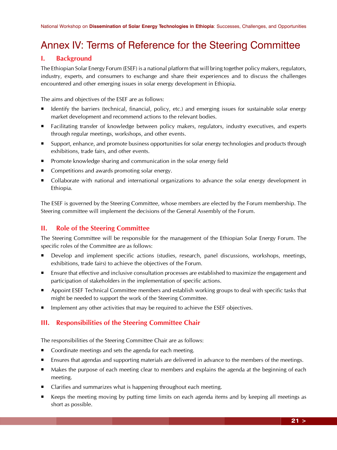# Annex IV: Terms of Reference for the Steering Committee

# **I. Background**

The Ethiopian Solar Energy Forum (ESEF) is a national platform that will bring together policy makers, regulators, industry, experts, and consumers to exchange and share their experiences and to discuss the challenges encountered and other emerging issues in solar energy development in Ethiopia.

The aims and objectives of the ESEF are as follows:

- Identify the barriers (technical, financial, policy, etc.) and emerging issues for sustainable solar energy market development and recommend actions to the relevant bodies.
- Facilitating transfer of knowledge between policy makers, regulators, industry executives, and experts through regular meetings, workshops, and other events.
- Support, enhance, and promote business opportunities for solar energy technologies and products through exhibitions, trade fairs, and other events.
- **Promote knowledge sharing and communication in the solar energy field**
- Competitions and awards promoting solar energy.
- Collaborate with national and international organizations to advance the solar energy development in Ethiopia.

The ESEF is governed by the Steering Committee, whose members are elected by the Forum membership. The Steering committee will implement the decisions of the General Assembly of the Forum.

# **II. Role of the Steering Committee**

The Steering Committee will be responsible for the management of the Ethiopian Solar Energy Forum. The specific roles of the Committee are as follows:

- Develop and implement specific actions (studies, research, panel discussions, workshops, meetings, exhibitions, trade fairs) to achieve the objectives of the Forum.
- Ensure that effective and inclusive consultation processes are established to maximize the engagement and participation of stakeholders in the implementation of specific actions.
- **Appoint ESEF Technical Committee members and establish working groups to deal with specific tasks that** might be needed to support the work of the Steering Committee.
- Implement any other activities that may be required to achieve the ESEF objectives.

# **III. Responsibilities of the Steering Committee Chair**

The responsibilities of the Steering Committee Chair are as follows:

- Coordinate meetings and sets the agenda for each meeting.
- Ensures that agendas and supporting materials are delivered in advance to the members of the meetings.
- Makes the purpose of each meeting clear to members and explains the agenda at the beginning of each meeting.
- Clarifies and summarizes what is happening throughout each meeting.
- Keeps the meeting moving by putting time limits on each agenda items and by keeping all meetings as short as possible.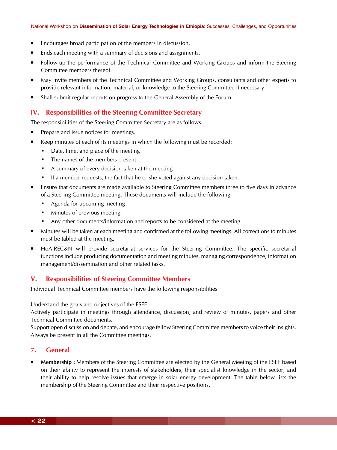- Encourages broad participation of the members in discussion.
- Ends each meeting with a summary of decisions and assignments.
- **Fig. 2.5** Follow-up the performance of the Technical Committee and Working Groups and inform the Steering Committee members thereof.
- May invite members of the Technical Committee and Working Groups, consultants and other experts to provide relevant information, material, or knowledge to the Steering Committee if necessary.
- Shall submit regular reports on progress to the General Assembly of the Forum.

#### **IV. Responsibilities of the Steering Committee Secretary**

The responsibilities of the Steering Committee Secretary are as follows:

- Prepare and issue notices for meetings.
- Keep minutes of each of its meetings in which the following must be recorded:
	- Date, time, and place of the meeting
	- The names of the members present
	- A summary of every decision taken at the meeting
	- If a member requests, the fact that he or she voted against any decision taken.
- Ensure that documents are made available to Steering Committee members three to five days in advance of a Steering Committee meeting. These documents will include the following:
	- **•** Agenda for upcoming meeting
	- **Minutes of previous meeting**
	- Any other documents/information and reports to be considered at the meeting.
- Minutes will be taken at each meeting and confirmed at the following meetings. All corrections to minutes must be tabled at the meeting.
- HoA-REC&N will provide secretariat services for the Steering Committee. The specific secretarial functions include producing documentation and meeting minutes, managing correspondence, information management/dissemination and other related tasks.

## **V. Responsibilities of Steering Committee Members**

Individual Technical Committee members have the following responsibilities:

Understand the goals and objectives of the ESEF.

Actively participate in meetings through attendance, discussion, and review of minutes, papers and other Technical Committee documents.

Support open discussion and debate, and encourage fellow Steering Committee members to voice their insights. Always be present in all the Committee meetings.

### **7. General**

 **Membership :** Members of the Steering Committee are elected by the General Meeting of the ESEF based on their ability to represent the interests of stakeholders, their specialist knowledge in the sector, and their ability to help resolve issues that emerge in solar energy development. The table below lists the membership of the Steering Committee and their respective positions.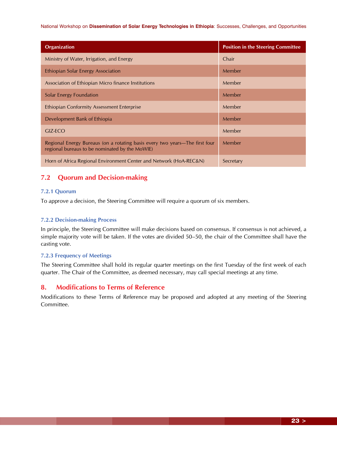#### National Workshop on **Dissemination of Solar Energy Technologies in Ethiopia**: Successes, Challenges, and Opportunities

| <b>Organization</b>                                                                                                           | <b>Position in the Steering Committee</b> |
|-------------------------------------------------------------------------------------------------------------------------------|-------------------------------------------|
| Ministry of Water, Irrigation, and Energy                                                                                     | Chair                                     |
| Ethiopian Solar Energy Association                                                                                            | Member                                    |
| Association of Ethiopian Micro finance Institutions                                                                           | Member                                    |
| Solar Energy Foundation                                                                                                       | Member                                    |
| <b>Ethiopian Conformity Assessment Enterprise</b>                                                                             | Member                                    |
| Development Bank of Ethiopia                                                                                                  | Member                                    |
| GIZ-ECO                                                                                                                       | Member                                    |
| Regional Energy Bureaus (on a rotating basis every two years—The first four<br>regional bureaus to be nominated by the MoWIE) | Member                                    |
| Horn of Africa Regional Environment Center and Network (HoA-REC&N)                                                            | Secretary                                 |

# **7.2 Quorum and Decision-making**

#### **7.2.1 Quorum**

To approve a decision, the Steering Committee will require a quorum of six members.

#### **7.2.2 Decision-making Process**

In principle, the Steering Committee will make decisions based on consensus. If consensus is not achieved, a simple majority vote will be taken. If the votes are divided 50–50, the chair of the Committee shall have the casting vote.

#### **7.2.3 Frequency of Meetings**

The Steering Committee shall hold its regular quarter meetings on the first Tuesday of the first week of each quarter. The Chair of the Committee, as deemed necessary, may call special meetings at any time.

## **8. Modifications to Terms of Reference**

Modifications to these Terms of Reference may be proposed and adopted at any meeting of the Steering Committee.